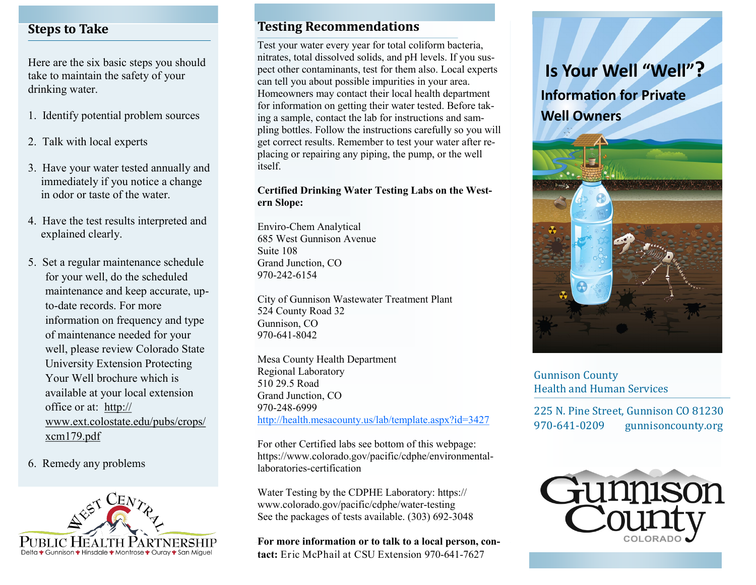## **Steps to Take**

Here are the six basic steps you should take to maintain the safety of your drinking water.

- 1. Identify potential problem sources
- 2. Talk with local experts
- 3. Have your water tested annually and immediately if you notice a change in odor or taste of the water.
- 4. Have the test results interpreted and explained clearly.
- 5. Set a regular maintenance schedule for your well, do the scheduled maintenance and keep accurate, upto-date records. For more information on frequency and type of maintenance needed for your well, please review Colorado State University Extension Protecting Your Well brochure which is available at your local extension office or at: [http://](http://www.ext.colostate.edu/pubs/crops/xcm179.pdf) [www.ext.colostate.edu/pubs/crops/](http://www.ext.colostate.edu/pubs/crops/xcm179.pdf) [xcm179.pdf](http://www.ext.colostate.edu/pubs/crops/xcm179.pdf)
- 6. Remedy any problems



#### **Testing Recommendations**

Test your water every year for total coliform bacteria, nitrates, total dissolved solids, and pH levels. If you suspect other contaminants, test for them also. Local experts can tell you about possible impurities in your area. Homeowners may contact their local health department for information on getting their water tested. Before taking a sample, contact the lab for instructions and sampling bottles. Follow the instructions carefully so you will get correct results. Remember to test your water after replacing or repairing any piping, the pump, or the well itself.

#### **Certified Drinking Water Testing Labs on the Western Slope:**

Enviro-Chem Analytical 685 West Gunnison Avenue Suite 108 Grand Junction, CO 970-242-6154

City of Gunnison Wastewater Treatment Plant 524 County Road 32 Gunnison, CO 970-641-8042

Mesa County Health Department Regional Laboratory 510 29.5 Road Grand Junction, CO 970-248-6999 <http://health.mesacounty.us/lab/template.aspx?id=3427>

For other Certified labs see bottom of this webpage: https://www.colorado.gov/pacific/cdphe/environmentallaboratories-certification

Water Testing by the CDPHE Laboratory: https:// www.colorado.gov/pacific/cdphe/water-testing See the packages of tests available. (303) 692-3048

**For more information or to talk to a local person, contact:** Eric McPhail at CSU Extension 970-641-7627

# **Is Your Well "Well"?**

**Information for Private Well Owners** 



Gunnison County Health and Human Services

225 N. Pine Street, Gunnison CO 81230 970-641-0209 gunnisoncounty.org